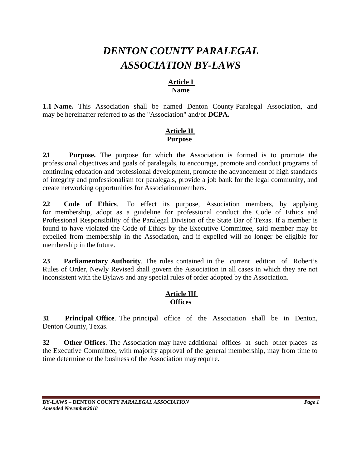# *DENTON COUNTY PARALEGAL ASSOCIATION BY-LAWS*

#### **Article I Name**

**1.1 Name.** This Association shall be named Denton County Paralegal Association, and may be hereinafter referred to as the "Association" and/or **DCPA.**

## **Article II Purpose**

**2.1 Purpose.** The purpose for which the Association is formed is to promote the professional objectives and goals of paralegals, to encourage, promote and conduct programs of continuing education and professional development, promote the advancement of high standards of integrity and professionalism for paralegals, provide a job bank for the legal community, and create networking opportunities for Associationmembers.

**2.2 Code of Ethics**. To effect its purpose, Association members, by applying for membership, adopt as a guideline for professional conduct the Code of Ethics and Professional Responsibility of the Paralegal Division of the State Bar of Texas. If a member is found to have violated the Code of Ethics by the Executive Committee, said member may be expelled from membership in the Association, and if expelled will no longer be eligible for membership in the future.

**2.3 Parliamentary Authority**. The rules contained in the current edition of Robert's Rules of Order, Newly Revised shall govern the Association in all cases in which they are not inconsistent with the Bylaws and any special rules of order adopted by the Association.

# **Article III Offices**

**3.1 Principal Office**. The principal office of the Association shall be in Denton, Denton County, Texas.

**3.2 Other Offices**. The Association may have additional offices at such other places as the Executive Committee, with majority approval of the general membership, may from time to time determine or the business of the Association may require.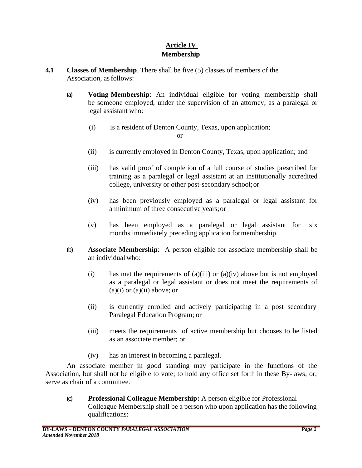# **Article IV Membership**

- **4.1 Classes of Membership**. There shall be five (5) classes of members of the Association, as follows:
	- (a) **Voting Membership**: An individual eligible for voting membership shall be someone employed, under the supervision of an attorney, as a paralegal or legal assistant who:
		- (i) is a resident of Denton County, Texas, upon application;

or

- (ii) is currently employed in Denton County, Texas, upon application; and
- (iii) has valid proof of completion of a full course of studies prescribed for training as a paralegal or legal assistant at an institutionally accredited college, university or other post-secondary school;or
- (iv) has been previously employed as a paralegal or legal assistant for a minimum of three consecutive years;or
- (v) has been employed as a paralegal or legal assistant for six months immediately preceding application formembership.
- (b) **Associate Membership**: A person eligible for associate membership shall be an individual who:
	- (i) has met the requirements of (a)(iii) or (a)(iv) above but is not employed as a paralegal or legal assistant or does not meet the requirements of  $(a)(i)$  or  $(a)(ii)$  above; or
	- (ii) is currently enrolled and actively participating in a post secondary Paralegal Education Program; or
	- (iii) meets the requirements of active membership but chooses to be listed as an associate member; or
	- (iv) has an interest in becoming a paralegal.

An associate member in good standing may participate in the functions of the Association, but shall not be eligible to vote; to hold any office set forth in these By-laws; or, serve as chair of a committee.

(c) **Professional Colleague Membership:** A person eligible for Professional Colleague Membership shall be a person who upon application has the following qualifications: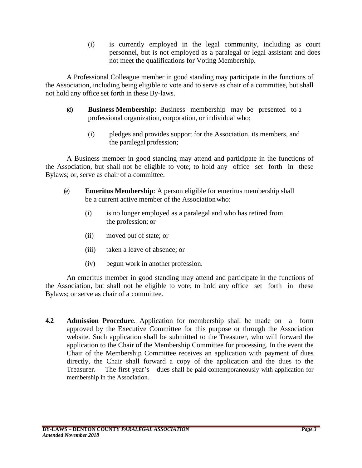(i) is currently employed in the legal community, including as court personnel, but is not employed as a paralegal or legal assistant and does not meet the qualifications for Voting Membership.

A Professional Colleague member in good standing may participate in the functions of the Association, including being eligible to vote and to serve as chair of a committee, but shall not hold any office set forth in these By-laws.

- (d) **Business Membership**: Business membership may be presented to a professional organization, corporation, or individual who:
	- (i) pledges and provides support for the Association, its members, and the paralegal profession;

A Business member in good standing may attend and participate in the functions of the Association, but shall not be eligible to vote; to hold any office set forth in these Bylaws; or, serve as chair of a committee.

- (e) **Emeritus Membership**: A person eligible for emeritus membership shall be a current active member of the Associationwho:
	- (i) is no longer employed as a paralegal and who has retired from the profession; or
	- (ii) moved out of state; or
	- (iii) taken a leave of absence; or
	- (iv) begun work in another profession.

An emeritus member in good standing may attend and participate in the functions of the Association, but shall not be eligible to vote; to hold any office set forth in these Bylaws; or serve as chair of a committee.

**4.2 Admission Procedure**. Application for membership shall be made on a form approved by the Executive Committee for this purpose or through the Association website. Such application shall be submitted to the Treasurer, who will forward the application to the Chair of the Membership Committee for processing. In the event the Chair of the Membership Committee receives an application with payment of dues directly, the Chair shall forward a copy of the application and the dues to the Treasurer. The first year's dues shall be paid contemporaneously with application for membership in the Association.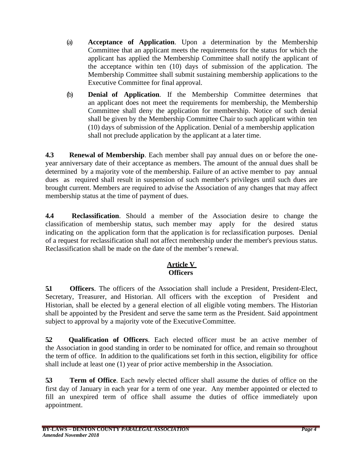- (a) **Acceptance of Application**. Upon a determination by the Membership Committee that an applicant meets the requirements for the status for which the applicant has applied the Membership Committee shall notify the applicant of the acceptance within ten (10) days of submission of the application. The Membership Committee shall submit sustaining membership applications to the Executive Committee for final approval.
- (b) **Denial of Application**. If the Membership Committee determines that an applicant does not meet the requirements for membership, the Membership Committee shall deny the application for membership. Notice of such denial shall be given by the Membership Committee Chair to such applicant within ten (10) days of submission of the Application. Denial of a membership application shall not preclude application by the applicant at a later time.

**4.3 Renewal of Membership**. Each member shall pay annual dues on or before the oneyear anniversary date of their acceptance as members. The amount of the annual dues shall be determined by a majority vote of the membership. Failure of an active member to pay annual dues as required shall result in suspension of such member's privileges until such dues are brought current. Members are required to advise the Association of any changes that may affect membership status at the time of payment of dues.

**4.4 Reclassification**. Should a member of the Association desire to change the classification of membership status, such member may apply for the desired status indicating on the application form that the application is for reclassification purposes. Denial of a request for reclassification shall not affect membership under the member's previous status. Reclassification shall be made on the date of the member's renewal.

# **Article V Officers**

**5.1 Officers**. The officers of the Association shall include a President, President-Elect, Secretary, Treasurer, and Historian. All officers with the exception of President and Historian, shall be elected by a general election of all eligible voting members. The Historian shall be appointed by the President and serve the same term as the President. Said appointment subject to approval by a majority vote of the ExecutiveCommittee.

**5.2 Qualification of Officers**. Each elected officer must be an active member of the Association in good standing in order to be nominated for office, and remain so throughout the term of office. In addition to the qualifications set forth in this section, eligibility for office shall include at least one (1) year of prior active membership in the Association.

**5.3 Term of Office**. Each newly elected officer shall assume the duties of office on the first day of January in each year for a term of one year. Any member appointed or elected to fill an unexpired term of office shall assume the duties of office immediately upon appointment.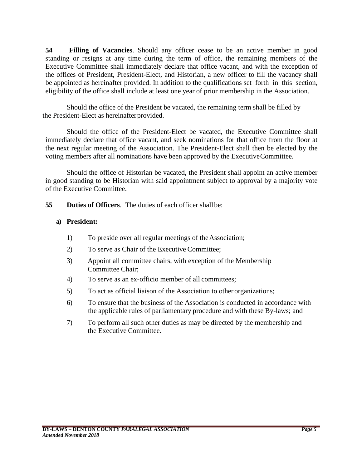**5.4 Filling of Vacancies**. Should any officer cease to be an active member in good standing or resigns at any time during the term of office, the remaining members of the Executive Committee shall immediately declare that office vacant, and with the exception of the offices of President, President-Elect, and Historian, a new officer to fill the vacancy shall be appointed as hereinafter provided. In addition to the qualifications set forth in this section, eligibility of the office shall include at least one year of prior membership in the Association.

Should the office of the President be vacated, the remaining term shall be filled by the President-Elect as hereinafter provided.

Should the office of the President-Elect be vacated, the Executive Committee shall immediately declare that office vacant, and seek nominations for that office from the floor at the next regular meeting of the Association. The President-Elect shall then be elected by the voting members after all nominations have been approved by the ExecutiveCommittee.

Should the office of Historian be vacated, the President shall appoint an active member in good standing to be Historian with said appointment subject to approval by a majority vote of the Executive Committee.

**5.5 Duties of Officers**. The duties of each officer shallbe:

#### **a) President:**

- 1) To preside over all regular meetings of theAssociation;
- 2) To serve as Chair of the Executive Committee;
- 3) Appoint all committee chairs, with exception of the Membership Committee Chair;
- 4) To serve as an ex-officio member of all committees;
- 5) To act as official liaison of the Association to other organizations;
- 6) To ensure that the business of the Association is conducted in accordance with the applicable rules of parliamentary procedure and with these By-laws; and
- 7) To perform all such other duties as may be directed by the membership and the Executive Committee.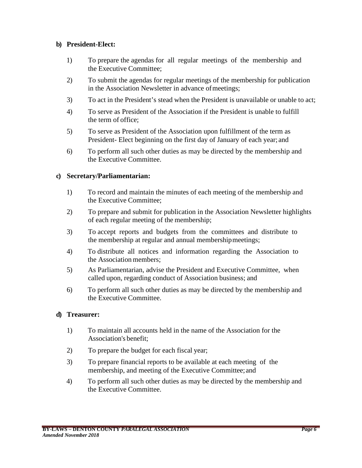## **b) President-Elect:**

- 1) To prepare the agendas for all regular meetings of the membership and the Executive Committee;
- 2) To submit the agendas for regular meetings of the membership for publication in the Association Newsletter in advance of meetings;
- 3) To act in the President's stead when the President is unavailable or unable to act;
- 4) To serve as President of the Association if the President is unable to fulfill the term of office;
- 5) To serve as President of the Association upon fulfillment of the term as President- Elect beginning on the first day of January of each year; and
- 6) To perform all such other duties as may be directed by the membership and the Executive Committee.

#### **c) Secretary/Parliamentarian:**

- 1) To record and maintain the minutes of each meeting of the membership and the Executive Committee;
- 2) To prepare and submit for publication in the Association Newsletter highlights of each regular meeting of the membership;
- 3) To accept reports and budgets from the committees and distribute to the membership at regular and annual membershipmeetings;
- 4) To distribute all notices and information regarding the Association to the Association members;
- 5) As Parliamentarian, advise the President and Executive Committee, when called upon, regarding conduct of Association business; and
- 6) To perform all such other duties as may be directed by the membership and the Executive Committee.

## **d) Treasurer:**

- 1) To maintain all accounts held in the name of the Association for the Association's benefit;
- 2) To prepare the budget for each fiscal year;
- 3) To prepare financial reports to be available at each meeting of the membership, and meeting of the Executive Committee;and
- 4) To perform all such other duties as may be directed by the membership and the Executive Committee.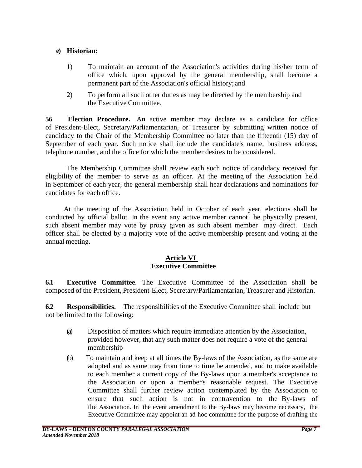#### **e) Historian:**

- 1) To maintain an account of the Association's activities during his/her term of office which, upon approval by the general membership, shall become a permanent part of the Association's official history; and
- 2) To perform all such other duties as may be directed by the membership and the Executive Committee.

**5.6 Election Procedure.** An active member may declare as a candidate for office of President-Elect, Secretary/Parliamentarian, or Treasurer by submitting written notice of candidacy to the Chair of the Membership Committee no later than the fifteenth (15) day of September of each year. Such notice shall include the candidate's name, business address, telephone number, and the office for which the member desires to be considered.

The Membership Committee shall review each such notice of candidacy received for eligibility of the member to serve as an officer. At the meeting of the Association held in September of each year, the general membership shall hear declarations and nominations for candidates for each office.

At the meeting of the Association held in October of each year, elections shall be conducted by official ballot. In the event any active member cannot be physically present, such absent member may vote by proxy given as such absent member may direct. Each officer shall be elected by a majority vote of the active membership present and voting at the annual meeting.

#### **Article VI Executive Committee**

**6.1 Executive Committee**. The Executive Committee of the Association shall be composed of the President, President-Elect, Secretary/Parliamentarian, Treasurer and Historian.

**6.2 Responsibilities.** The responsibilities of the Executive Committee shall include but not be limited to the following:

- (a) Disposition of matters which require immediate attention by the Association, provided however, that any such matter does not require a vote of the general membership
- (b) To maintain and keep at all times the By-laws of the Association, as the same are adopted and as same may from time to time be amended, and to make available to each member a current copy of the By-laws upon a member's acceptance to the Association or upon a member's reasonable request. The Executive Committee shall further review action contemplated by the Association to ensure that such action is not in contravention to the By-laws of the Association. In the event amendment to the By-laws may become necessary, the Executive Committee may appoint an ad-hoc committee for the purpose of drafting the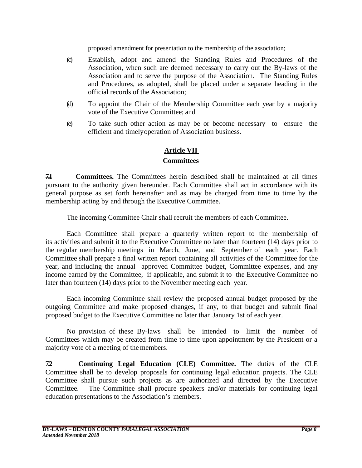proposed amendment for presentation to the membership of the association;

- (c) Establish, adopt and amend the Standing Rules and Procedures of the Association, when such are deemed necessary to carry out the By-laws of the Association and to serve the purpose of the Association. The Standing Rules and Procedures, as adopted, shall be placed under a separate heading in the official records of the Association;
- (d) To appoint the Chair of the Membership Committee each year by a majority vote of the Executive Committee; and
- (e) To take such other action as may be or become necessary to ensure the efficient and timelyoperation of Association business.

## **Article VII**

#### **Committees**

**7.1 Committees.** The Committees herein described shall be maintained at all times pursuant to the authority given hereunder. Each Committee shall act in accordance with its general purpose as set forth hereinafter and as may be charged from time to time by the membership acting by and through the Executive Committee.

The incoming Committee Chair shall recruit the members of each Committee.

Each Committee shall prepare a quarterly written report to the membership of its activities and submit it to the Executive Committee no later than fourteen (14) days prior to the regular membership meetings in March, June, and September of each year. Each Committee shall prepare a final written report containing all activities of the Committee for the year, and including the annual approved Committee budget, Committee expenses, and any income earned by the Committee, if applicable, and submit it to the Executive Committee no later than fourteen (14) days prior to the November meeting each year.

Each incoming Committee shall review the proposed annual budget proposed by the outgoing Committee and make proposed changes, if any, to that budget and submit final proposed budget to the Executive Committee no later than January 1st of each year.

No provision of these By-laws shall be intended to limit the number of Committees which may be created from time to time upon appointment by the President or a majority vote of a meeting of the members.

**7.2 Continuing Legal Education (CLE) Committee.** The duties of the CLE Committee shall be to develop proposals for continuing legal education projects. The CLE Committee shall pursue such projects as are authorized and directed by the Executive Committee. The Committee shall procure speakers and/or materials for continuing legal education presentations to the Association's members.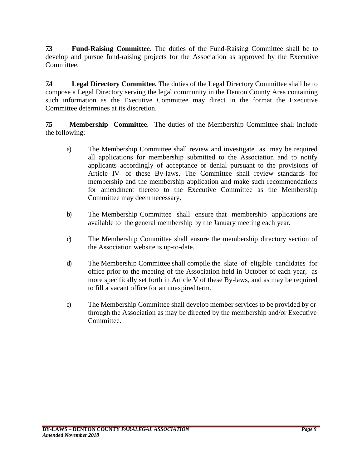**7.3 Fund-Raising Committee.** The duties of the Fund-Raising Committee shall be to develop and pursue fund-raising projects for the Association as approved by the Executive Committee.

**7.4 Legal Directory Committee.** The duties of the Legal Directory Committee shall be to compose a Legal Directory serving the legal community in the Denton County Area containing such information as the Executive Committee may direct in the format the Executive Committee determines at its discretion.

**7.5 Membership Committee**. The duties of the Membership Committee shall include the following:

- a) The Membership Committee shall review and investigate as may be required all applications for membership submitted to the Association and to notify applicants accordingly of acceptance or denial pursuant to the provisions of Article IV of these By-laws. The Committee shall review standards for membership and the membership application and make such recommendations for amendment thereto to the Executive Committee as the Membership Committee may deem necessary.
- b) The Membership Committee shall ensure that membership applications are available to the general membership by the January meeting each year.
- c) The Membership Committee shall ensure the membership directory section of the Association website is up-to-date.
- d) The Membership Committee shall compile the slate of eligible candidates for office prior to the meeting of the Association held in October of each year, as more specifically set forth in Article V of these By-laws, and as may be required to fill a vacant office for an unexpired term.
- e) The Membership Committee shall develop member services to be provided by or through the Association as may be directed by the membership and/or Executive Committee.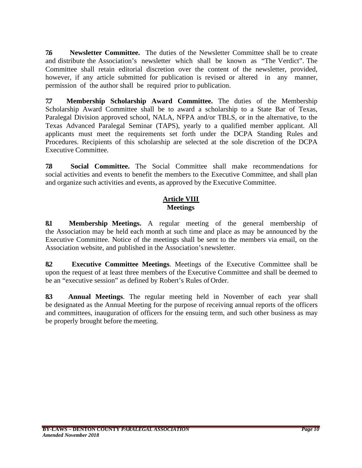**7.6 Newsletter Committee.** The duties of the Newsletter Committee shall be to create and distribute the Association's newsletter which shall be known as "The Verdict". The Committee shall retain editorial discretion over the content of the newsletter, provided, however, if any article submitted for publication is revised or altered in any manner, permission of the author shall be required prior to publication.

**7.7 Membership Scholarship Award Committee.** The duties of the Membership Scholarship Award Committee shall be to award a scholarship to a State Bar of Texas, Paralegal Division approved school, NALA, NFPA and/or TBLS, or in the alternative, to the Texas Advanced Paralegal Seminar (TAPS), yearly to a qualified member applicant. All applicants must meet the requirements set forth under the DCPA Standing Rules and Procedures. Recipients of this scholarship are selected at the sole discretion of the DCPA Executive Committee.

**7.8 Social Committee.** The Social Committee shall make recommendations for social activities and events to benefit the members to the Executive Committee, and shall plan and organize such activities and events, as approved by the Executive Committee.

## **Article VIII Meetings**

**8.1 Membership Meetings.** A regular meeting of the general membership of the Association may be held each month at such time and place as may be announced by the Executive Committee. Notice of the meetings shall be sent to the members via email, on the Association website, and published in the Association's newsletter.

**8.2 Executive Committee Meetings**. Meetings of the Executive Committee shall be upon the request of at least three members of the Executive Committee and shall be deemed to be an "executive session" as defined by Robert's Rules of Order.

**8.3 Annual Meetings**. The regular meeting held in November of each year shall be designated as the Annual Meeting for the purpose of receiving annual reports of the officers and committees, inauguration of officers for the ensuing term, and such other business as may be properly brought before the meeting.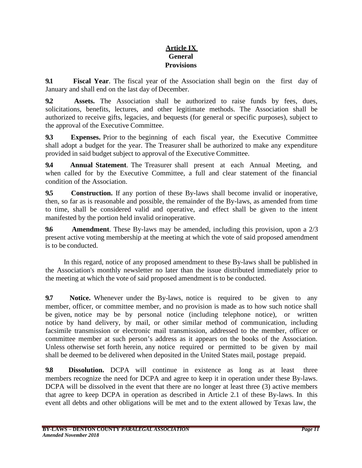# **Article IX General Provisions**

**9.1 Fiscal Year**. The fiscal year of the Association shall begin on the first day of January and shall end on the last day of December.

**9.2 Assets.** The Association shall be authorized to raise funds by fees, dues, solicitations, benefits, lectures, and other legitimate methods. The Association shall be authorized to receive gifts, legacies, and bequests (for general or specific purposes), subject to the approval of the Executive Committee.

**9.3 Expenses.** Prior to the beginning of each fiscal year, the Executive Committee shall adopt a budget for the year. The Treasurer shall be authorized to make any expenditure provided in said budget subject to approval of the Executive Committee.

**9.4 Annual Statement**. The Treasurer shall present at each Annual Meeting, and when called for by the Executive Committee, a full and clear statement of the financial condition of the Association.

**9.5 Construction.** If any portion of these By-laws shall become invalid or inoperative, then, so far as is reasonable and possible, the remainder of the By-laws, as amended from time to time, shall be considered valid and operative, and effect shall be given to the intent manifested by the portion held invalid orinoperative.

**9.6 Amendment**. These By-laws may be amended, including this provision, upon a 2/3 present active voting membership at the meeting at which the vote of said proposed amendment is to be conducted.

In this regard, notice of any proposed amendment to these By-laws shall be published in the Association's monthly newsletter no later than the issue distributed immediately prior to the meeting at which the vote of said proposed amendment is to be conducted.

**9.7 Notice.** Whenever under the By-laws, notice is required to be given to any member, officer, or committee member, and no provision is made as to how such notice shall be given, notice may be by personal notice (including telephone notice), or written notice by hand delivery, by mail, or other similar method of communication, including facsimile transmission or electronic mail transmission, addressed to the member, officer or committee member at such person's address as it appears on the books of the Association. Unless otherwise set forth herein, any notice required or permitted to be given by mail shall be deemed to be delivered when deposited in the United States mail, postage prepaid.

**9.8 Dissolution.** DCPA will continue in existence as long as at least three members recognize the need for DCPA and agree to keep it in operation under these By-laws. DCPA will be dissolved in the event that there are no longer at least three (3) active members that agree to keep DCPA in operation as described in Article 2.1 of these By-laws. In this event all debts and other obligations will be met and to the extent allowed by Texas law, the